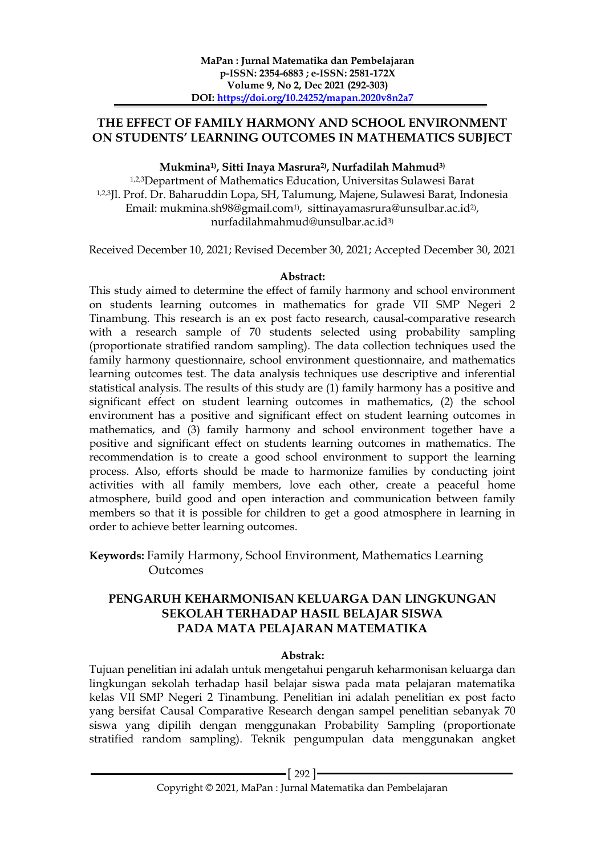### **THE EFFECT OF FAMILY HARMONY AND SCHOOL ENVIRONMENT ON STUDENTS' LEARNING OUTCOMES IN MATHEMATICS SUBJECT**

#### **Mukmina1) , Sitti Inaya Masrura2), Nurfadilah Mahmud3)**

1,2,3Department of Mathematics Education, Universitas Sulawesi Barat 1,2,3Jl. Prof. Dr. Baharuddin Lopa, SH, Talumung, Majene, Sulawesi Barat, Indonesia Email: mukmina.sh98@gmail.com1), sittinayamasrura@unsulbar.ac.id2) , nurfadilahmahmud@unsulbar.ac.id3)

Received December 10, 2021; Revised December 30, 2021; Accepted December 30, 2021

#### **Abstract:**

This study aimed to determine the effect of family harmony and school environment on students learning outcomes in mathematics for grade VII SMP Negeri 2 Tinambung. This research is an ex post facto research, causal-comparative research with a research sample of 70 students selected using probability sampling (proportionate stratified random sampling). The data collection techniques used the family harmony questionnaire, school environment questionnaire, and mathematics learning outcomes test. The data analysis techniques use descriptive and inferential statistical analysis. The results of this study are (1) family harmony has a positive and significant effect on student learning outcomes in mathematics, (2) the school environment has a positive and significant effect on student learning outcomes in mathematics, and (3) family harmony and school environment together have a positive and significant effect on students learning outcomes in mathematics. The recommendation is to create a good school environment to support the learning process. Also, efforts should be made to harmonize families by conducting joint activities with all family members, love each other, create a peaceful home atmosphere, build good and open interaction and communication between family members so that it is possible for children to get a good atmosphere in learning in order to achieve better learning outcomes.

**Keywords:** Family Harmony, School Environment, Mathematics Learning Outcomes

### **PENGARUH KEHARMONISAN KELUARGA DAN LINGKUNGAN SEKOLAH TERHADAP HASIL BELAJAR SISWA PADA MATA PELAJARAN MATEMATIKA**

#### **Abstrak:**

Tujuan penelitian ini adalah untuk mengetahui pengaruh keharmonisan keluarga dan lingkungan sekolah terhadap hasil belajar siswa pada mata pelajaran matematika kelas VII SMP Negeri 2 Tinambung. Penelitian ini adalah penelitian ex post facto yang bersifat Causal Comparative Research dengan sampel penelitian sebanyak 70 siswa yang dipilih dengan menggunakan Probability Sampling (proportionate stratified random sampling). Teknik pengumpulan data menggunakan angket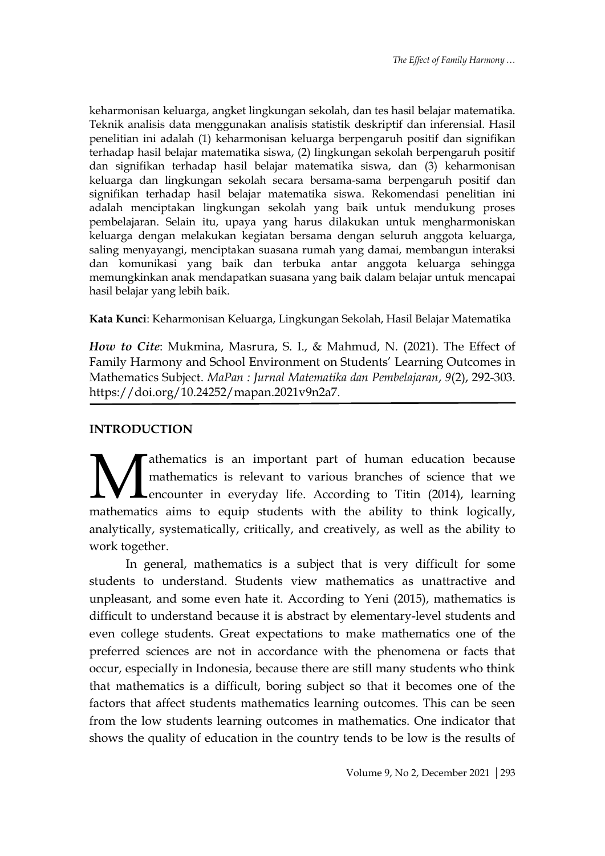keharmonisan keluarga, angket lingkungan sekolah, dan tes hasil belajar matematika. Teknik analisis data menggunakan analisis statistik deskriptif dan inferensial. Hasil penelitian ini adalah (1) keharmonisan keluarga berpengaruh positif dan signifikan terhadap hasil belajar matematika siswa, (2) lingkungan sekolah berpengaruh positif dan signifikan terhadap hasil belajar matematika siswa, dan (3) keharmonisan keluarga dan lingkungan sekolah secara bersama-sama berpengaruh positif dan signifikan terhadap hasil belajar matematika siswa. Rekomendasi penelitian ini adalah menciptakan lingkungan sekolah yang baik untuk mendukung proses pembelajaran. Selain itu, upaya yang harus dilakukan untuk mengharmoniskan keluarga dengan melakukan kegiatan bersama dengan seluruh anggota keluarga, saling menyayangi, menciptakan suasana rumah yang damai, membangun interaksi dan komunikasi yang baik dan terbuka antar anggota keluarga sehingga memungkinkan anak mendapatkan suasana yang baik dalam belajar untuk mencapai hasil belajar yang lebih baik.

**Kata Kunci**: Keharmonisan Keluarga, Lingkungan Sekolah, Hasil Belajar Matematika

*How to Cite*: Mukmina, Masrura, S. I., & Mahmud, N. (2021). The Effect of Family Harmony and School Environment on Students' Learning Outcomes in Mathematics Subject. *MaPan : Jurnal Matematika dan Pembelajaran*, *9*(2), 292-303. https://doi.org/10.24252/mapan.2021v9n2a7.

### **INTRODUCTION**

athematics is an important part of human education because mathematics is relevant to various branches of science that we **L**encounter in everyday life. According to Titin (2014), learning Mathematics is an important part of human education because mathematics is relevant to various branches of science that we encounter in everyday life. According to Titin (2014), learning mathematics aims to equip students analytically, systematically, critically, and creatively, as well as the ability to work together.

In general, mathematics is a subject that is very difficult for some students to understand. Students view mathematics as unattractive and unpleasant, and some even hate it. According to Yeni (2015), mathematics is difficult to understand because it is abstract by elementary-level students and even college students. Great expectations to make mathematics one of the preferred sciences are not in accordance with the phenomena or facts that occur, especially in Indonesia, because there are still many students who think that mathematics is a difficult, boring subject so that it becomes one of the factors that affect students mathematics learning outcomes. This can be seen from the low students learning outcomes in mathematics. One indicator that shows the quality of education in the country tends to be low is the results of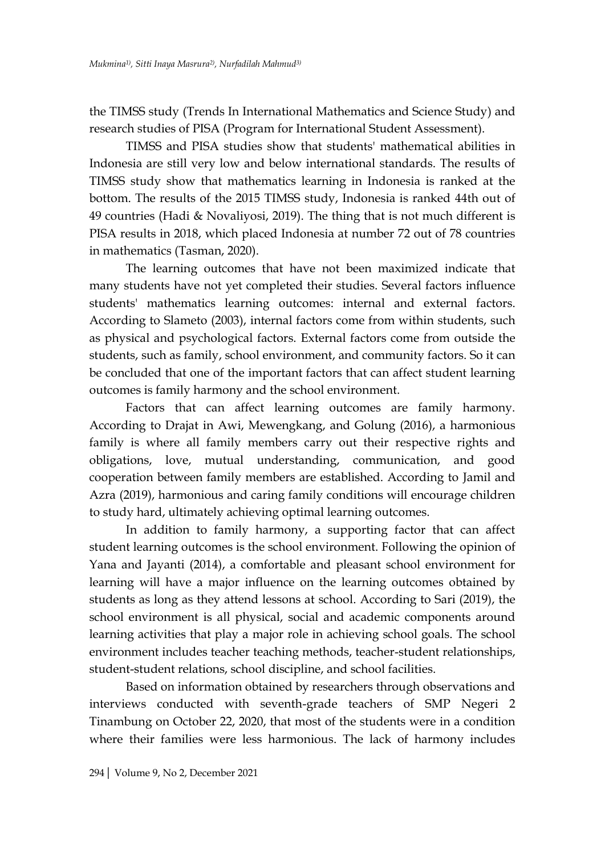the TIMSS study (Trends In International Mathematics and Science Study) and research studies of PISA (Program for International Student Assessment).

TIMSS and PISA studies show that students' mathematical abilities in Indonesia are still very low and below international standards. The results of TIMSS study show that mathematics learning in Indonesia is ranked at the bottom. The results of the 2015 TIMSS study, Indonesia is ranked 44th out of 49 countries (Hadi & Novaliyosi, 2019). The thing that is not much different is PISA results in 2018, which placed Indonesia at number 72 out of 78 countries in mathematics (Tasman, 2020).

The learning outcomes that have not been maximized indicate that many students have not yet completed their studies. Several factors influence students' mathematics learning outcomes: internal and external factors. According to Slameto (2003), internal factors come from within students, such as physical and psychological factors. External factors come from outside the students, such as family, school environment, and community factors. So it can be concluded that one of the important factors that can affect student learning outcomes is family harmony and the school environment.

Factors that can affect learning outcomes are family harmony. According to Drajat in Awi, Mewengkang, and Golung (2016), a harmonious family is where all family members carry out their respective rights and obligations, love, mutual understanding, communication, and good cooperation between family members are established. According to Jamil and Azra (2019), harmonious and caring family conditions will encourage children to study hard, ultimately achieving optimal learning outcomes.

In addition to family harmony, a supporting factor that can affect student learning outcomes is the school environment. Following the opinion of Yana and Jayanti (2014), a comfortable and pleasant school environment for learning will have a major influence on the learning outcomes obtained by students as long as they attend lessons at school. According to Sari (2019), the school environment is all physical, social and academic components around learning activities that play a major role in achieving school goals. The school environment includes teacher teaching methods, teacher-student relationships, student-student relations, school discipline, and school facilities.

Based on information obtained by researchers through observations and interviews conducted with seventh-grade teachers of SMP Negeri 2 Tinambung on October 22, 2020, that most of the students were in a condition where their families were less harmonious. The lack of harmony includes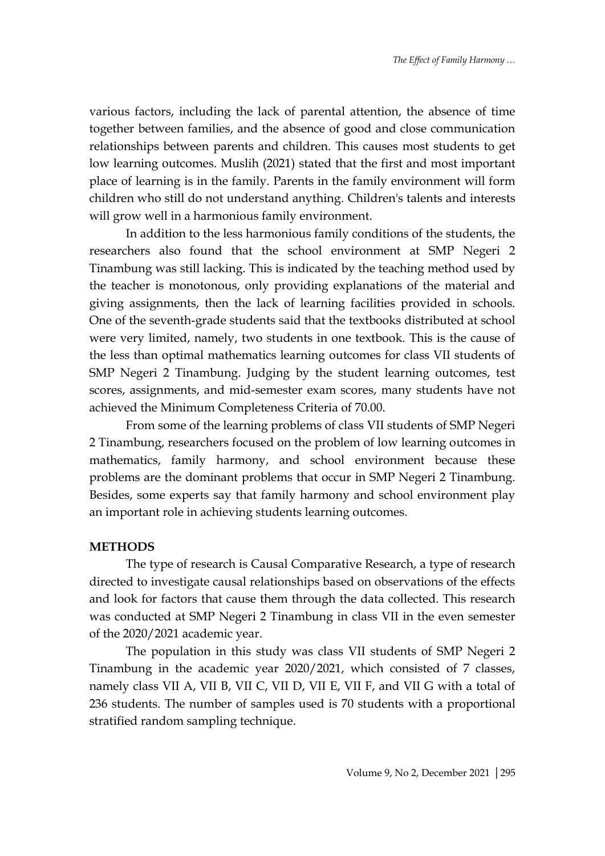various factors, including the lack of parental attention, the absence of time together between families, and the absence of good and close communication relationships between parents and children. This causes most students to get low learning outcomes. Muslih (2021) stated that the first and most important place of learning is in the family. Parents in the family environment will form children who still do not understand anything. Children's talents and interests will grow well in a harmonious family environment.

In addition to the less harmonious family conditions of the students, the researchers also found that the school environment at SMP Negeri 2 Tinambung was still lacking. This is indicated by the teaching method used by the teacher is monotonous, only providing explanations of the material and giving assignments, then the lack of learning facilities provided in schools. One of the seventh-grade students said that the textbooks distributed at school were very limited, namely, two students in one textbook. This is the cause of the less than optimal mathematics learning outcomes for class VII students of SMP Negeri 2 Tinambung. Judging by the student learning outcomes, test scores, assignments, and mid-semester exam scores, many students have not achieved the Minimum Completeness Criteria of 70.00.

From some of the learning problems of class VII students of SMP Negeri 2 Tinambung, researchers focused on the problem of low learning outcomes in mathematics, family harmony, and school environment because these problems are the dominant problems that occur in SMP Negeri 2 Tinambung. Besides, some experts say that family harmony and school environment play an important role in achieving students learning outcomes.

#### **METHODS**

The type of research is Causal Comparative Research, a type of research directed to investigate causal relationships based on observations of the effects and look for factors that cause them through the data collected. This research was conducted at SMP Negeri 2 Tinambung in class VII in the even semester of the 2020/2021 academic year.

The population in this study was class VII students of SMP Negeri 2 Tinambung in the academic year 2020/2021, which consisted of 7 classes, namely class VII A, VII B, VII C, VII D, VII E, VII F, and VII G with a total of 236 students. The number of samples used is 70 students with a proportional stratified random sampling technique.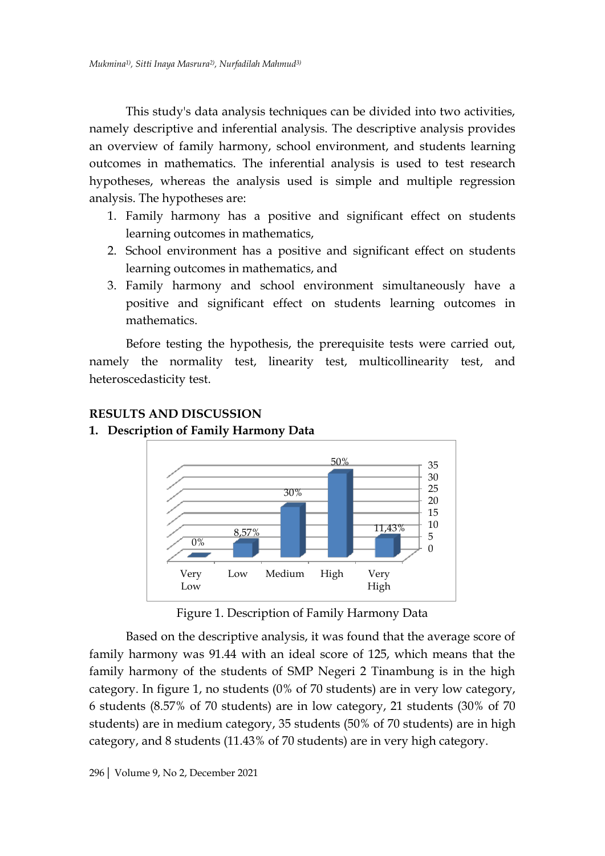This study's data analysis techniques can be divided into two activities, namely descriptive and inferential analysis. The descriptive analysis provides an overview of family harmony, school environment, and students learning outcomes in mathematics. The inferential analysis is used to test research hypotheses, whereas the analysis used is simple and multiple regression analysis. The hypotheses are:

- 1. Family harmony has a positive and significant effect on students learning outcomes in mathematics,
- 2. School environment has a positive and significant effect on students learning outcomes in mathematics, and
- 3. Family harmony and school environment simultaneously have a positive and significant effect on students learning outcomes in mathematics.

Before testing the hypothesis, the prerequisite tests were carried out, namely the normality test, linearity test, multicollinearity test, and heteroscedasticity test.



## **RESULTS AND DISCUSSION**

### **1. Description of Family Harmony Data**

Figure 1. Description of Family Harmony Data

Based on the descriptive analysis, it was found that the average score of family harmony was 91.44 with an ideal score of 125, which means that the family harmony of the students of SMP Negeri 2 Tinambung is in the high category. In figure 1, no students (0% of 70 students) are in very low category, 6 students (8.57% of 70 students) are in low category, 21 students (30% of 70 students) are in medium category, 35 students (50% of 70 students) are in high category, and 8 students (11.43% of 70 students) are in very high category.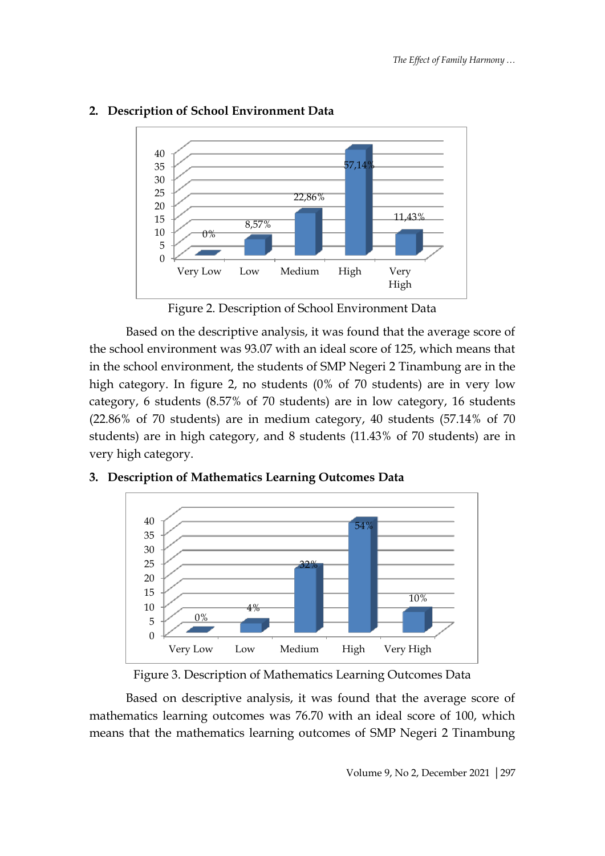

## **2. Description of School Environment Data**

Figure 2. Description of School Environment Data

Based on the descriptive analysis, it was found that the average score of the school environment was 93.07 with an ideal score of 125, which means that in the school environment, the students of SMP Negeri 2 Tinambung are in the high category. In figure 2, no students (0% of 70 students) are in very low category, 6 students (8.57% of 70 students) are in low category, 16 students (22.86% of 70 students) are in medium category, 40 students (57.14% of 70 students) are in high category, and 8 students (11.43% of 70 students) are in very high category.



### **3. Description of Mathematics Learning Outcomes Data**

Based on descriptive analysis, it was found that the average score of mathematics learning outcomes was 76.70 with an ideal score of 100, which means that the mathematics learning outcomes of SMP Negeri 2 Tinambung

Figure 3. Description of Mathematics Learning Outcomes Data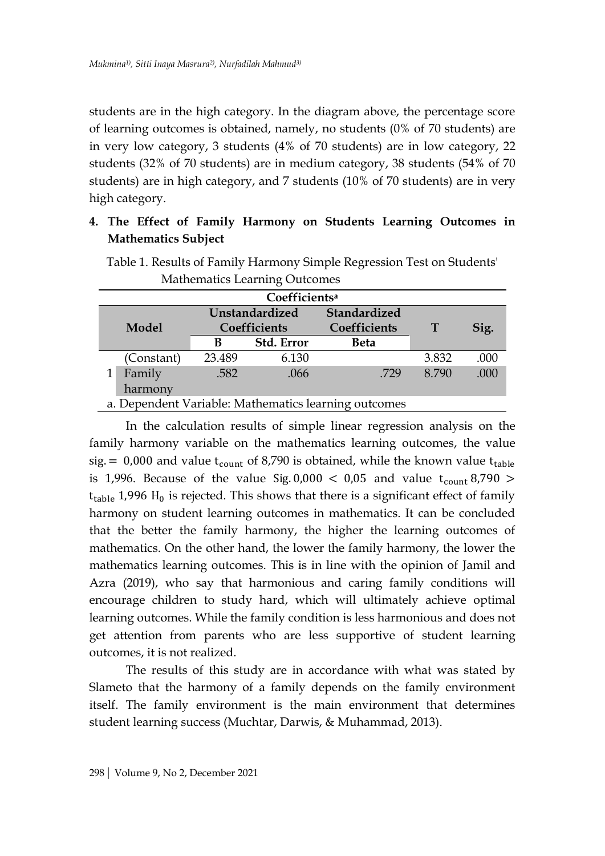students are in the high category. In the diagram above, the percentage score of learning outcomes is obtained, namely, no students (0% of 70 students) are in very low category, 3 students (4% of 70 students) are in low category, 22 students (32% of 70 students) are in medium category, 38 students (54% of 70 students) are in high category, and 7 students (10% of 70 students) are in very high category.

# **4. The Effect of Family Harmony on Students Learning Outcomes in Mathematics Subject**

|                                                      | Mathematics Learning Outcomes |                |            |              |       |      |  |  |
|------------------------------------------------------|-------------------------------|----------------|------------|--------------|-------|------|--|--|
| Coefficients <sup>a</sup>                            |                               |                |            |              |       |      |  |  |
| Model                                                |                               | Unstandardized |            | Standardized |       | Sig. |  |  |
|                                                      |                               | Coefficients   |            | Coefficients | T     |      |  |  |
|                                                      |                               | в              | Std. Error | <b>Beta</b>  |       |      |  |  |
|                                                      | (Constant)                    | 23.489         | 6.130      |              | 3.832 | .000 |  |  |
|                                                      | Family                        | .582           | .066       | .729         | 8.790 | .000 |  |  |
|                                                      | harmony                       |                |            |              |       |      |  |  |
| a. Dependent Variable: Mathematics learning outcomes |                               |                |            |              |       |      |  |  |

Table 1. Results of Family Harmony Simple Regression Test on Students' Mathematics Learning Outcomes

In the calculation results of simple linear regression analysis on the family harmony variable on the mathematics learning outcomes, the value sig. = 0,000 and value  $t_{count}$  of 8,790 is obtained, while the known value  $t_{table}$ is 1,996. Because of the value Sig.  $0,000 < 0,05$  and value  $t_{\text{count}}$  8,790 >  $t_{table}$  1,996 H<sub>0</sub> is rejected. This shows that there is a significant effect of family harmony on student learning outcomes in mathematics. It can be concluded that the better the family harmony, the higher the learning outcomes of mathematics. On the other hand, the lower the family harmony, the lower the mathematics learning outcomes. This is in line with the opinion of Jamil and Azra (2019), who say that harmonious and caring family conditions will encourage children to study hard, which will ultimately achieve optimal learning outcomes. While the family condition is less harmonious and does not get attention from parents who are less supportive of student learning outcomes, it is not realized.

The results of this study are in accordance with what was stated by Slameto that the harmony of a family depends on the family environment itself. The family environment is the main environment that determines student learning success (Muchtar, Darwis, & Muhammad, 2013).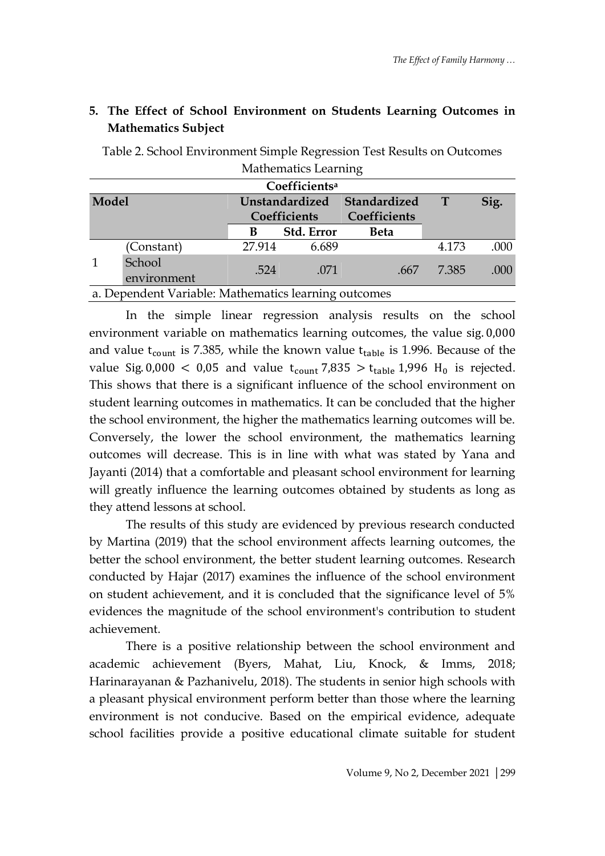| Mathematics Learning |                                                      |                                |                           |                              |       |      |  |
|----------------------|------------------------------------------------------|--------------------------------|---------------------------|------------------------------|-------|------|--|
|                      |                                                      |                                | Coefficients <sup>a</sup> |                              |       |      |  |
| Model                |                                                      | Unstandardized<br>Coefficients |                           | Standardized<br>Coefficients | T     | Sig. |  |
|                      |                                                      | В                              | Std. Error                | <b>Beta</b>                  |       |      |  |
|                      | (Constant)                                           | 27.914                         | 6.689                     |                              | 4.173 | .000 |  |
|                      | School<br>environment                                | .524                           | .071                      | .667                         | 7.385 | .000 |  |
|                      | a. Dependent Variable: Mathematics learning outcomes |                                |                           |                              |       |      |  |

## **5. The Effect of School Environment on Students Learning Outcomes in Mathematics Subject**

Table 2. School Environment Simple Regression Test Results on Outcomes Mathematics Lea

In the simple linear regression analysis results on the school environment variable on mathematics learning outcomes, the value sig. 0,000 and value  $t_{count}$  is 7.385, while the known value  $t_{table}$  is 1.996. Because of the value Sig. 0,000 < 0,05 and value  $t_{\text{count}}$  7,835 >  $t_{\text{table}}$  1,996 H<sub>0</sub> is rejected. This shows that there is a significant influence of the school environment on student learning outcomes in mathematics. It can be concluded that the higher the school environment, the higher the mathematics learning outcomes will be. Conversely, the lower the school environment, the mathematics learning outcomes will decrease. This is in line with what was stated by Yana and Jayanti (2014) that a comfortable and pleasant school environment for learning will greatly influence the learning outcomes obtained by students as long as they attend lessons at school.

The results of this study are evidenced by previous research conducted by Martina (2019) that the school environment affects learning outcomes, the better the school environment, the better student learning outcomes. Research conducted by Hajar (2017) examines the influence of the school environment on student achievement, and it is concluded that the significance level of 5% evidences the magnitude of the school environment's contribution to student achievement.

There is a positive relationship between the school environment and academic achievement (Byers, Mahat, Liu, Knock, & Imms, 2018; Harinarayanan & Pazhanivelu, 2018). The students in senior high schools with a pleasant physical environment perform better than those where the learning environment is not conducive. Based on the empirical evidence, adequate school facilities provide a positive educational climate suitable for student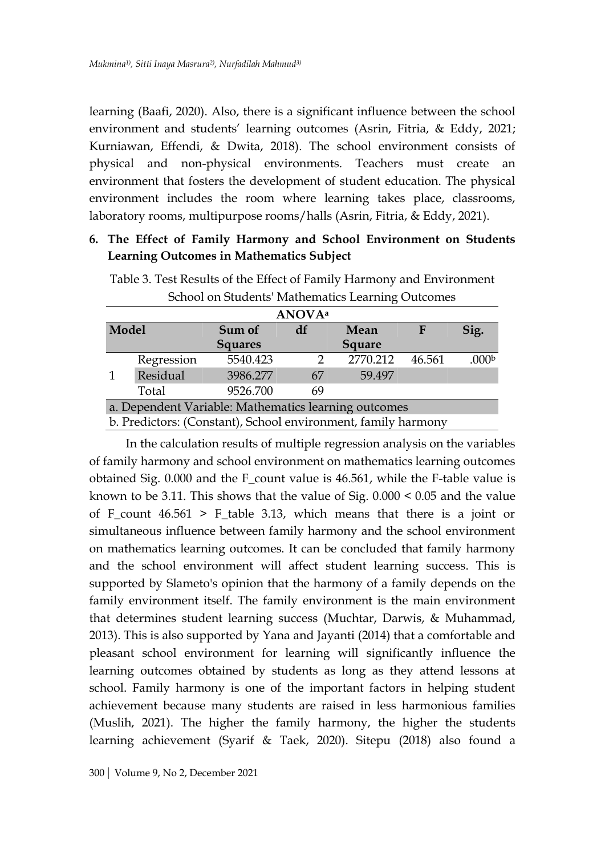learning (Baafi, 2020). Also, there is a significant influence between the school environment and students' learning outcomes (Asrin, Fitria, & Eddy, 2021; Kurniawan, Effendi, & Dwita, 2018). The school environment consists of physical and non-physical environments. Teachers must create an environment that fosters the development of student education. The physical environment includes the room where learning takes place, classrooms, laboratory rooms, multipurpose rooms/halls (Asrin, Fitria, & Eddy, 2021).

## **6. The Effect of Family Harmony and School Environment on Students Learning Outcomes in Mathematics Subject**

| <b>ANOVA</b> <sup>a</sup> |            |                                                               |    |               |        |                   |  |  |
|---------------------------|------------|---------------------------------------------------------------|----|---------------|--------|-------------------|--|--|
| Model                     |            | Sum of                                                        | df | Mean          | F      | Sig.              |  |  |
|                           |            | <b>Squares</b>                                                |    | <b>Square</b> |        |                   |  |  |
|                           | Regression | 5540.423                                                      |    | 2770.212      | 46.561 | .000 <sub>b</sub> |  |  |
| $\mathbf{1}$              | Residual   | 3986.277                                                      | 67 | 59.497        |        |                   |  |  |
|                           | Total      | 9526.700                                                      | 69 |               |        |                   |  |  |
|                           |            | a. Dependent Variable: Mathematics learning outcomes          |    |               |        |                   |  |  |
|                           |            | b. Predictors: (Constant), School environment, family harmony |    |               |        |                   |  |  |

Table 3. Test Results of the Effect of Family Harmony and Environment School on Students' Mathematics Learning Outcomes

In the calculation results of multiple regression analysis on the variables of family harmony and school environment on mathematics learning outcomes obtained Sig. 0.000 and the F\_count value is 46.561, while the F-table value is known to be 3.11. This shows that the value of Sig. 0.000 < 0.05 and the value of F\_count 46.561 > F\_table 3.13, which means that there is a joint or simultaneous influence between family harmony and the school environment on mathematics learning outcomes. It can be concluded that family harmony and the school environment will affect student learning success. This is supported by Slameto's opinion that the harmony of a family depends on the family environment itself. The family environment is the main environment that determines student learning success (Muchtar, Darwis, & Muhammad, 2013). This is also supported by Yana and Jayanti (2014) that a comfortable and pleasant school environment for learning will significantly influence the learning outcomes obtained by students as long as they attend lessons at school. Family harmony is one of the important factors in helping student achievement because many students are raised in less harmonious families (Muslih, 2021). The higher the family harmony, the higher the students learning achievement (Syarif & Taek, 2020). Sitepu (2018) also found a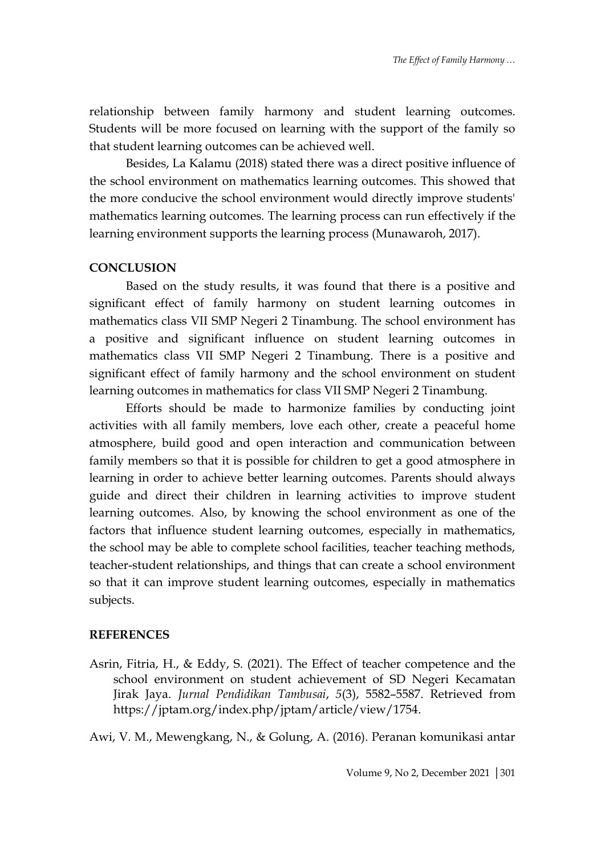relationship between family harmony and student learning outcomes. Students will be more focused on learning with the support of the family so that student learning outcomes can be achieved well.

Besides, La Kalamu (2018) stated there was a direct positive influence of the school environment on mathematics learning outcomes. This showed that the more conducive the school environment would directly improve students' mathematics learning outcomes. The learning process can run effectively if the learning environment supports the learning process (Munawaroh, 2017).

#### **CONCLUSION**

Based on the study results, it was found that there is a positive and significant effect of family harmony on student learning outcomes in mathematics class VII SMP Negeri 2 Tinambung. The school environment has a positive and significant influence on student learning outcomes in mathematics class VII SMP Negeri 2 Tinambung. There is a positive and significant effect of family harmony and the school environment on student learning outcomes in mathematics for class VII SMP Negeri 2 Tinambung.

Efforts should be made to harmonize families by conducting joint activities with all family members, love each other, create a peaceful home atmosphere, build good and open interaction and communication between family members so that it is possible for children to get a good atmosphere in learning in order to achieve better learning outcomes. Parents should always guide and direct their children in learning activities to improve student learning outcomes. Also, by knowing the school environment as one of the factors that influence student learning outcomes, especially in mathematics, the school may be able to complete school facilities, teacher teaching methods, teacher-student relationships, and things that can create a school environment so that it can improve student learning outcomes, especially in mathematics subjects.

#### **REFERENCES**

Asrin, Fitria, H., & Eddy, S. (2021). The Effect of teacher competence and the school environment on student achievement of SD Negeri Kecamatan Jirak Jaya. *Jurnal Pendidikan Tambusai*, *5*(3), 5582–5587. Retrieved from https://jptam.org/index.php/jptam/article/view/1754.

Awi, V. M., Mewengkang, N., & Golung, A. (2016). Peranan komunikasi antar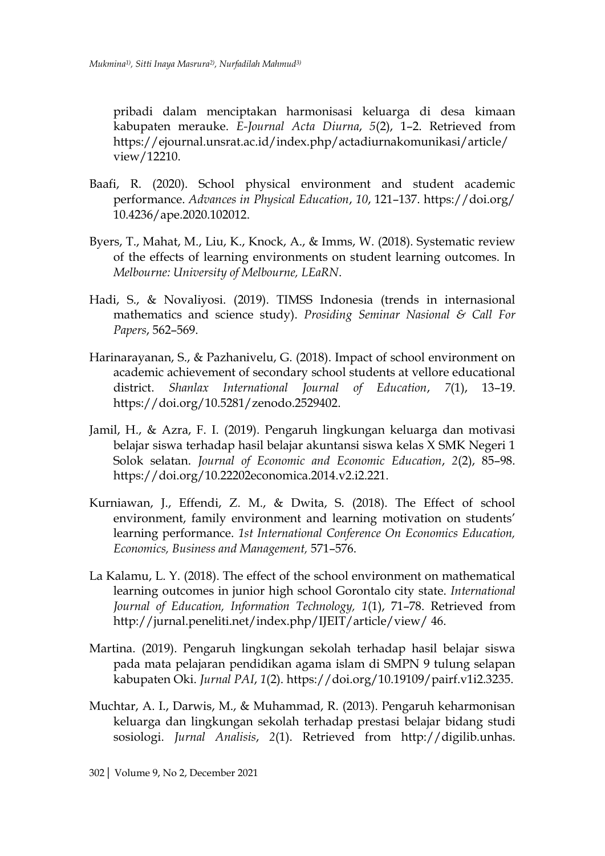pribadi dalam menciptakan harmonisasi keluarga di desa kimaan kabupaten merauke. *E-Journal Acta Diurna*, *5*(2), 1–2. Retrieved from https://ejournal.unsrat.ac.id/index.php/actadiurnakomunikasi/article/ view/12210.

- Baafi, R. (2020). School physical environment and student academic performance. *Advances in Physical Education*, *10*, 121–137. https://doi.org/ 10.4236/ape.2020.102012.
- Byers, T., Mahat, M., Liu, K., Knock, A., & Imms, W. (2018). Systematic review of the effects of learning environments on student learning outcomes. In *Melbourne: University of Melbourne, LEaRN*.
- Hadi, S., & Novaliyosi. (2019). TIMSS Indonesia (trends in internasional mathematics and science study). *Prosiding Seminar Nasional & Call For Papers*, 562–569.
- Harinarayanan, S., & Pazhanivelu, G. (2018). Impact of school environment on academic achievement of secondary school students at vellore educational district. *Shanlax International Journal of Education*, *7*(1), 13–19. https://doi.org/10.5281/zenodo.2529402.
- Jamil, H., & Azra, F. I. (2019). Pengaruh lingkungan keluarga dan motivasi belajar siswa terhadap hasil belajar akuntansi siswa kelas X SMK Negeri 1 Solok selatan. *Journal of Economic and Economic Education*, *2*(2), 85–98. https://doi.org/10.22202economica.2014.v2.i2.221.
- Kurniawan, J., Effendi, Z. M., & Dwita, S. (2018). The Effect of school environment, family environment and learning motivation on students' learning performance. *1st International Conference On Economics Education, Economics, Business and Management,* 571–576.
- La Kalamu, L. Y. (2018). The effect of the school environment on mathematical learning outcomes in junior high school Gorontalo city state. *International Journal of Education, Information Technology, 1*(1), 71–78. Retrieved from http://jurnal.peneliti.net/index.php/IJEIT/article/view/ 46.
- Martina. (2019). Pengaruh lingkungan sekolah terhadap hasil belajar siswa pada mata pelajaran pendidikan agama islam di SMPN 9 tulung selapan kabupaten Oki. *Jurnal PAI*, *1*(2). https://doi.org/10.19109/pairf.v1i2.3235.
- Muchtar, A. I., Darwis, M., & Muhammad, R. (2013). Pengaruh keharmonisan keluarga dan lingkungan sekolah terhadap prestasi belajar bidang studi sosiologi. *Jurnal Analisis*, *2*(1). Retrieved from http://digilib.unhas.

<sup>302</sup>| Volume 9, No 2, December 2021